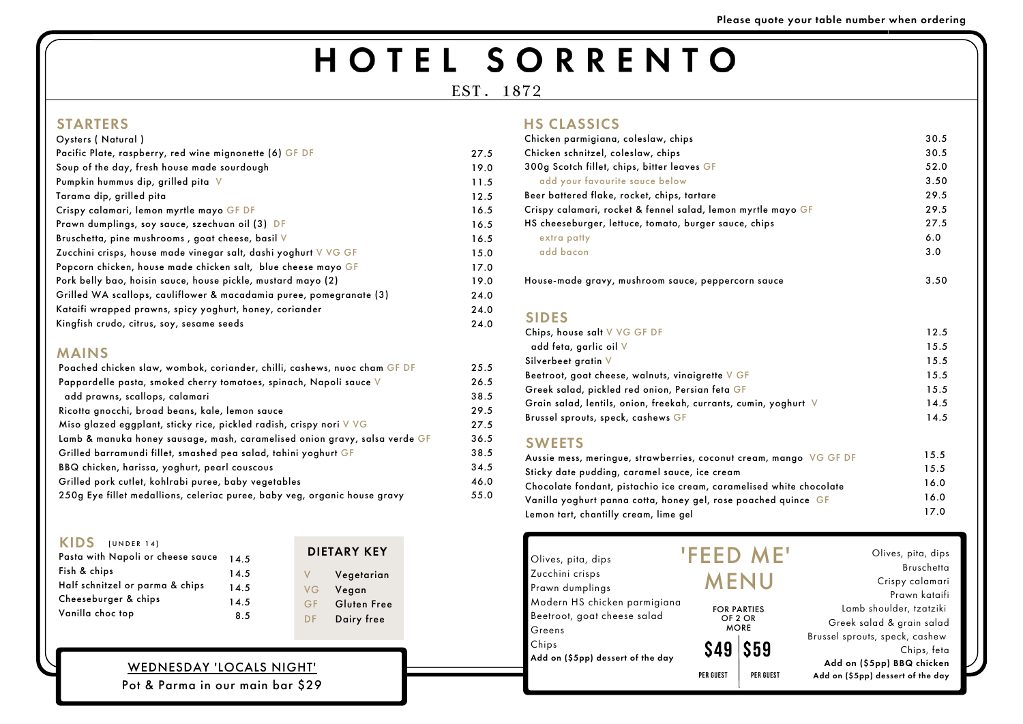# HOTEL SORRENTO

| Oysters (Natural)                                                   |
|---------------------------------------------------------------------|
| Pacific Plate, raspberry, red wine mignonette (6) GF DF             |
| Soup of the day, fresh house made sourdough                         |
| Pumpkin hummus dip, grilled pita V                                  |
| Tarama dip, grilled pita                                            |
| Crispy calamari, lemon myrtle mayo GF DF                            |
| Prawn dumplings, soy sauce, szechuan oil (3) DF                     |
| Bruschetta, pine mushrooms, goat cheese, basil V                    |
| Zucchini crisps, house made vinegar salt, dashi yoghurt V VG GF     |
| Popcorn chicken, house made chicken salt, blue cheese mayo GF       |
| Pork belly bao, hoisin sauce, house pickle, mustard mayo (2)        |
| Grilled WA scallops, cauliflower & macadamia puree, pomegranate (3) |
| Kataifi wrapped prawns, spicy yoghurt, honey, coriander             |
| Kingfish crudo, citrus, soy, sesame seeds                           |

|      | Chicken parmigiana, coleslaw, chips                   |
|------|-------------------------------------------------------|
| 27.5 | Chicken schnitzel, coleslaw, chips                    |
| 19.0 | 300g Scotch fillet, chips, bitter leaves GF           |
| 11.5 | add your favourite sauce below                        |
| 12.5 | Beer battered flake, rocket, chips, tartare           |
| 16.5 | Crispy calamari, rocket & fennel salad, lemon myrtle  |
| 16.5 | HS cheeseburger, lettuce, tomato, burger sauce, chips |
| 16.5 | extra patty                                           |
| 15.0 | add bacon                                             |
| 17.0 |                                                       |
| 19.0 | House-made gravy, mushroom sauce, peppercorn sau      |
| 24.0 |                                                       |
| 24.0 |                                                       |

mayo GF HS cheeseburger, lettuce, tomato, burger sauce, chips House-made gravy, mushroom sauce, peppercorn sauce Olives, pita, dips Bruschetta Crispy calamari Prawn kataifi Lamb shoulder, tzatziki Greek salad & grain salad Brussel sprouts, speck, cashew Chips, feta Add on (\$5pp) BBQ chicken Add on (\$5pp) dessert of the day **\$59** Olives, pita, dips Zucchini crisps Prawn dumplings Modern HS chicken parmigiana Beetroot, goat cheese salad Greens Chips Add on (\$5pp) dessert of the day 'FEED ME' MENU HS CLASSICS mango VG GF DF Sticky date pudding, caramel sauce, ice cream Chocolate fondant, pistachio ice cream, caramelised white chocolate Vanilla yoghurt panna cotta, honey gel, rose poached quince GF Lemon tart, chantilly cream, lime gel yoghurt V **\$49 PER GUEST PER GUEST** FOR PARTIES OF 2 OR MORE 30.5 30.5 52.0 3.50 29.5 29.5 27.5 6.0 3.0 3.50 12.5 15.5 15.5 15.5 15.5 14.5 14.5 15.5 15.5 16.0 16.0 17.0 SIDES





### MAINS

| Chips, house salt V VG GF DF                           |
|--------------------------------------------------------|
| add feta, garlic oil V                                 |
| Silverbeet gratin V                                    |
| Beetroot, goat cheese, walnuts, vinaigrette V GF       |
| Greek salad, pickled red onion, Persian feta GF        |
| Grain salad, lentils, onion, freekah, currants, cumin, |
| Brussel sprouts, speck, cashews GF                     |
| <b>SWEETS</b>                                          |
| Aussie mess, meringue, strawberries, coconut cream,    |

| Poached chicken slaw, wombok, coriander, chilli, cashews, nuoc cham GF DF  | 25.5 |
|----------------------------------------------------------------------------|------|
| Pappardelle pasta, smoked cherry tomatoes, spinach, Napoli sauce V         | 26.5 |
| add prawns, scallops, calamari                                             | 38.5 |
| Ricotta gnocchi, broad beans, kale, lemon sauce                            | 29.5 |
| Miso glazed eggplant, sticky rice, pickled radish, crispy nori V VG        | 27.5 |
| Lamb & manuka honey sausage, mash, caramelised onion gravy, salsa verde GF | 36.5 |
| Grilled barramundi fillet, smashed pea salad, tahini yoghurt GF            | 38.5 |
| BBQ chicken, harissa, yoghurt, pearl couscous                              | 34.5 |
| Grilled pork cutlet, kohlrabi puree, baby vegetables                       | 46.0 |
| 250g Eye fillet medallions, celeriac puree, baby veg, organic house gravy  | 55.0 |

# KIDS [UNDER 14]

| Pasta with Napoli or cheese sauce | 14.5 |
|-----------------------------------|------|
| Fish & chips                      | 14.5 |
| Half schnitzel or parma & chips   | 14.5 |
| Cheeseburger & chips              | 14.5 |
| Vanilla choc top                  | 8.5  |

EST. 1872

# **STARTERS**

# WEDNESDAY 'LOCALS NIGHT'

Pot & Parma in our main bar \$29

Please quote your table number when ordering

24.0

V VG GF DF Vegetarian Vegan Gluten Free Dairy free

# DIETARY KEY